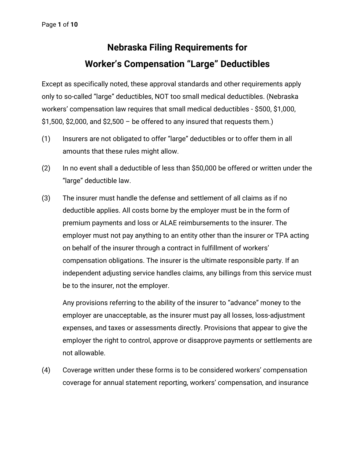## **Nebraska Filing Requirements for Worker's Compensation "Large" Deductibles**

Except as specifically noted, these approval standards and other requirements apply only to so-called "large" deductibles, NOT too small medical deductibles. (Nebraska workers' compensation law requires that small medical deductibles - \$500, \$1,000,  $$1,500, $2,000,$  and  $$2,500 -$  be offered to any insured that requests them.)

- (1) Insurers are not obligated to offer "large" deductibles or to offer them in all amounts that these rules might allow.
- (2) In no event shall a deductible of less than \$50,000 be offered or written under the "large" deductible law.
- (3) The insurer must handle the defense and settlement of all claims as if no deductible applies. All costs borne by the employer must be in the form of premium payments and loss or ALAE reimbursements to the insurer. The employer must not pay anything to an entity other than the insurer or TPA acting on behalf of the insurer through a contract in fulfillment of workers' compensation obligations. The insurer is the ultimate responsible party. If an independent adjusting service handles claims, any billings from this service must be to the insurer, not the employer.

Any provisions referring to the ability of the insurer to "advance" money to the employer are unacceptable, as the insurer must pay all losses, loss-adjustment expenses, and taxes or assessments directly. Provisions that appear to give the employer the right to control, approve or disapprove payments or settlements are not allowable.

(4) Coverage written under these forms is to be considered workers' compensation coverage for annual statement reporting, workers' compensation, and insurance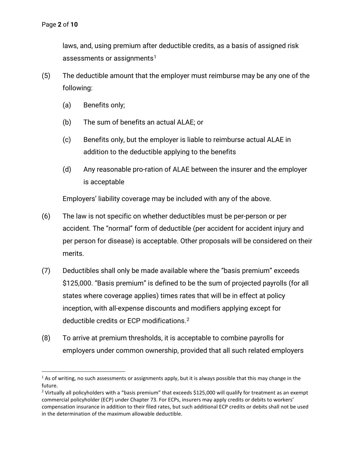laws, and, using premium after deductible credits, as a basis of assigned risk assessments or assignments<sup>[1](#page-1-0)</sup>

- (5) The deductible amount that the employer must reimburse may be any one of the following:
	- (a) Benefits only;
	- (b) The sum of benefits an actual ALAE; or
	- (c) Benefits only, but the employer is liable to reimburse actual ALAE in addition to the deductible applying to the benefits
	- (d) Any reasonable pro-ration of ALAE between the insurer and the employer is acceptable

Employers' liability coverage may be included with any of the above.

- (6) The law is not specific on whether deductibles must be per-person or per accident. The "normal" form of deductible (per accident for accident injury and per person for disease) is acceptable. Other proposals will be considered on their merits.
- (7) Deductibles shall only be made available where the "basis premium" exceeds \$125,000. "Basis premium" is defined to be the sum of projected payrolls (for all states where coverage applies) times rates that will be in effect at policy inception, with all-expense discounts and modifiers applying except for deductible credits or ECP modifications. [2](#page-1-1)
- (8) To arrive at premium thresholds, it is acceptable to combine payrolls for employers under common ownership, provided that all such related employers

<span id="page-1-0"></span> $1$  As of writing, no such assessments or assignments apply, but it is always possible that this may change in the future.

<span id="page-1-1"></span><sup>&</sup>lt;sup>2</sup> Virtually all policyholders with a "basis premium" that exceeds \$125,000 will qualify for treatment as an exempt commercial policyholder (ECP) under Chapter 73. For ECPs, insurers may apply credits or debits to workers' compensation insurance in addition to their filed rates, but such additional ECP credits or debits shall not be used in the determination of the maximum allowable deductible.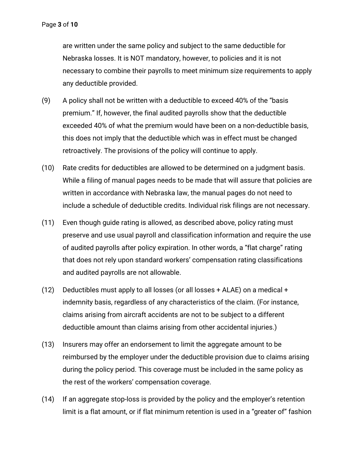are written under the same policy and subject to the same deductible for Nebraska losses. It is NOT mandatory, however, to policies and it is not necessary to combine their payrolls to meet minimum size requirements to apply any deductible provided.

- (9) A policy shall not be written with a deductible to exceed 40% of the "basis premium." If, however, the final audited payrolls show that the deductible exceeded 40% of what the premium would have been on a non-deductible basis, this does not imply that the deductible which was in effect must be changed retroactively. The provisions of the policy will continue to apply.
- (10) Rate credits for deductibles are allowed to be determined on a judgment basis. While a filing of manual pages needs to be made that will assure that policies are written in accordance with Nebraska law, the manual pages do not need to include a schedule of deductible credits. Individual risk filings are not necessary.
- (11) Even though guide rating is allowed, as described above, policy rating must preserve and use usual payroll and classification information and require the use of audited payrolls after policy expiration. In other words, a "flat charge" rating that does not rely upon standard workers' compensation rating classifications and audited payrolls are not allowable.
- (12) Deductibles must apply to all losses (or all losses + ALAE) on a medical + indemnity basis, regardless of any characteristics of the claim. (For instance, claims arising from aircraft accidents are not to be subject to a different deductible amount than claims arising from other accidental injuries.)
- (13) Insurers may offer an endorsement to limit the aggregate amount to be reimbursed by the employer under the deductible provision due to claims arising during the policy period. This coverage must be included in the same policy as the rest of the workers' compensation coverage.
- (14) If an aggregate stop-loss is provided by the policy and the employer's retention limit is a flat amount, or if flat minimum retention is used in a "greater of" fashion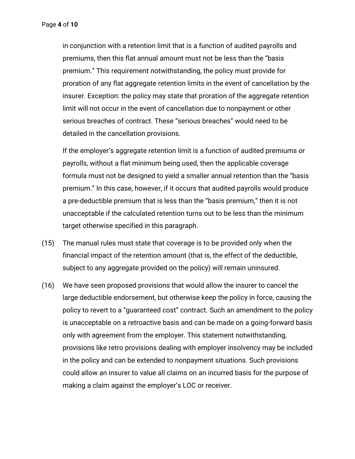in conjunction with a retention limit that is a function of audited payrolls and premiums, then this flat annual amount must not be less than the "basis premium." This requirement notwithstanding, the policy must provide for proration of any flat aggregate retention limits in the event of cancellation by the insurer. Exception: the policy may state that proration of the aggregate retention limit will not occur in the event of cancellation due to nonpayment or other serious breaches of contract. These "serious breaches" would need to be detailed in the cancellation provisions.

If the employer's aggregate retention limit is a function of audited premiums or payrolls, without a flat minimum being used, then the applicable coverage formula must not be designed to yield a smaller annual retention than the "basis premium." In this case, however, if it occurs that audited payrolls would produce a pre-deductible premium that is less than the "basis premium," then it is not unacceptable if the calculated retention turns out to be less than the minimum target otherwise specified in this paragraph.

- (15) The manual rules must state that coverage is to be provided only when the financial impact of the retention amount (that is, the effect of the deductible, subject to any aggregate provided on the policy) will remain uninsured.
- (16) We have seen proposed provisions that would allow the insurer to cancel the large deductible endorsement, but otherwise keep the policy in force, causing the policy to revert to a "guaranteed cost" contract. Such an amendment to the policy is unacceptable on a retroactive basis and can be made on a going-forward basis only with agreement from the employer. This statement notwithstanding, provisions like retro provisions dealing with employer insolvency may be included in the policy and can be extended to nonpayment situations. Such provisions could allow an insurer to value all claims on an incurred basis for the purpose of making a claim against the employer's LOC or receiver.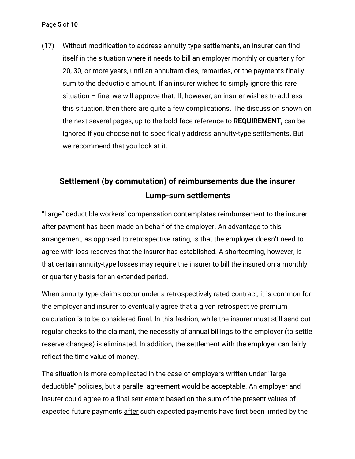(17) Without modification to address annuity-type settlements, an insurer can find itself in the situation where it needs to bill an employer monthly or quarterly for 20, 30, or more years, until an annuitant dies, remarries, or the payments finally sum to the deductible amount. If an insurer wishes to simply ignore this rare situation – fine, we will approve that. If, however, an insurer wishes to address this situation, then there are quite a few complications. The discussion shown on the next several pages, up to the bold-face reference to **REQUIREMENT,** can be ignored if you choose not to specifically address annuity-type settlements. But we recommend that you look at it.

## **Settlement (by commutation) of reimbursements due the insurer Lump-sum settlements**

"Large" deductible workers' compensation contemplates reimbursement to the insurer after payment has been made on behalf of the employer. An advantage to this arrangement, as opposed to retrospective rating, is that the employer doesn't need to agree with loss reserves that the insurer has established. A shortcoming, however, is that certain annuity-type losses may require the insurer to bill the insured on a monthly or quarterly basis for an extended period.

When annuity-type claims occur under a retrospectively rated contract, it is common for the employer and insurer to eventually agree that a given retrospective premium calculation is to be considered final. In this fashion, while the insurer must still send out regular checks to the claimant, the necessity of annual billings to the employer (to settle reserve changes) is eliminated. In addition, the settlement with the employer can fairly reflect the time value of money.

The situation is more complicated in the case of employers written under "large deductible" policies, but a parallel agreement would be acceptable. An employer and insurer could agree to a final settlement based on the sum of the present values of expected future payments after such expected payments have first been limited by the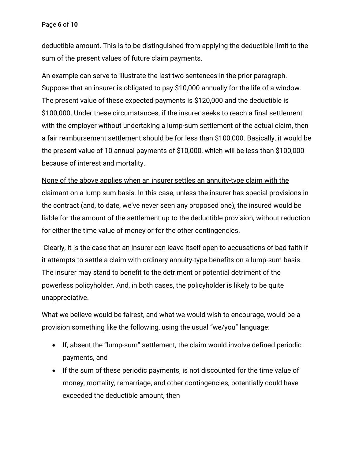deductible amount. This is to be distinguished from applying the deductible limit to the sum of the present values of future claim payments.

An example can serve to illustrate the last two sentences in the prior paragraph. Suppose that an insurer is obligated to pay \$10,000 annually for the life of a window. The present value of these expected payments is \$120,000 and the deductible is \$100,000. Under these circumstances, if the insurer seeks to reach a final settlement with the employer without undertaking a lump-sum settlement of the actual claim, then a fair reimbursement settlement should be for less than \$100,000. Basically, it would be the present value of 10 annual payments of \$10,000, which will be less than \$100,000 because of interest and mortality.

None of the above applies when an insurer settles an annuity-type claim with the claimant on a lump sum basis. In this case, unless the insurer has special provisions in the contract (and, to date, we've never seen any proposed one), the insured would be liable for the amount of the settlement up to the deductible provision, without reduction for either the time value of money or for the other contingencies.

Clearly, it is the case that an insurer can leave itself open to accusations of bad faith if it attempts to settle a claim with ordinary annuity-type benefits on a lump-sum basis. The insurer may stand to benefit to the detriment or potential detriment of the powerless policyholder. And, in both cases, the policyholder is likely to be quite unappreciative.

What we believe would be fairest, and what we would wish to encourage, would be a provision something like the following, using the usual "we/you" language:

- If, absent the "lump-sum" settlement, the claim would involve defined periodic payments, and
- If the sum of these periodic payments, is not discounted for the time value of money, mortality, remarriage, and other contingencies, potentially could have exceeded the deductible amount, then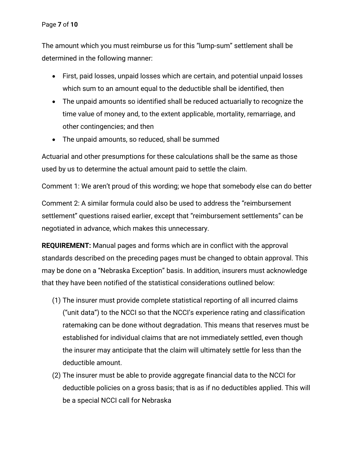The amount which you must reimburse us for this "lump-sum" settlement shall be determined in the following manner:

- First, paid losses, unpaid losses which are certain, and potential unpaid losses which sum to an amount equal to the deductible shall be identified, then
- The unpaid amounts so identified shall be reduced actuarially to recognize the time value of money and, to the extent applicable, mortality, remarriage, and other contingencies; and then
- The unpaid amounts, so reduced, shall be summed

Actuarial and other presumptions for these calculations shall be the same as those used by us to determine the actual amount paid to settle the claim.

Comment 1: We aren't proud of this wording; we hope that somebody else can do better

Comment 2: A similar formula could also be used to address the "reimbursement settlement" questions raised earlier, except that "reimbursement settlements" can be negotiated in advance, which makes this unnecessary.

**REQUIREMENT:** Manual pages and forms which are in conflict with the approval standards described on the preceding pages must be changed to obtain approval. This may be done on a "Nebraska Exception" basis. In addition, insurers must acknowledge that they have been notified of the statistical considerations outlined below:

- (1) The insurer must provide complete statistical reporting of all incurred claims ("unit data") to the NCCI so that the NCCI's experience rating and classification ratemaking can be done without degradation. This means that reserves must be established for individual claims that are not immediately settled, even though the insurer may anticipate that the claim will ultimately settle for less than the deductible amount.
- (2) The insurer must be able to provide aggregate financial data to the NCCI for deductible policies on a gross basis; that is as if no deductibles applied. This will be a special NCCI call for Nebraska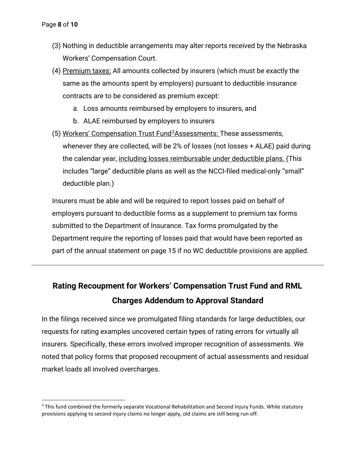- (3) Nothing in deductible arrangements may alter reports received by the Nebraska Workers' Compensation Court.
- (4) Premium taxes: All amounts collected by insurers (which must be exactly the same as the amounts spent by employers) pursuant to deductible insurance contracts are to be considered as premium except:
	- a. Loss amounts reimbursed by employers to insurers, and
	- b. ALAE reimbursed by employers to insurers
- (5) Workers' Compensation Trust Fund<sup>[3](#page-7-0)</sup>Assessments: These assessments, whenever they are collected, will be 2% of losses (not losses + ALAE) paid during the calendar year, including losses reimbursable under deductible plans. (This includes "large" deductible plans as well as the NCCI-filed medical-only "small" deductible plan.)

Insurers must be able and will be required to report losses paid on behalf of employers pursuant to deductible forms as a supplement to premium tax forms submitted to the Department of Insurance. Tax forms promulgated by the Department require the reporting of losses paid that would have been reported as part of the annual statement on page 15 if no WC deductible provisions are applied.

## **Rating Recoupment for Workers' Compensation Trust Fund and RML Charges Addendum to Approval Standard**

In the filings received since we promulgated filing standards for large deductibles, our requests for rating examples uncovered certain types of rating errors for virtually all insurers. Specifically, these errors involved improper recognition of assessments. We noted that policy forms that proposed recoupment of actual assessments and residual market loads all involved overcharges.

<span id="page-7-0"></span><sup>&</sup>lt;sup>3</sup> This fund combined the formerly separate Vocational Rehabilitation and Second Injury Funds. While statutory provisions applying to second injury claims no longer apply, old claims are still being run off.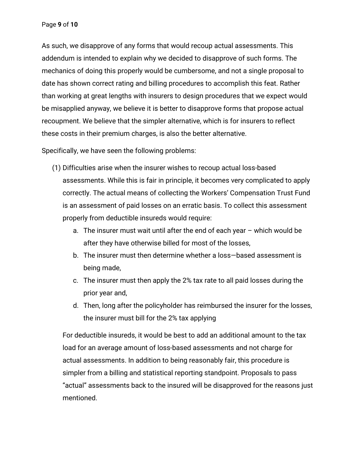As such, we disapprove of any forms that would recoup actual assessments. This addendum is intended to explain why we decided to disapprove of such forms. The mechanics of doing this properly would be cumbersome, and not a single proposal to date has shown correct rating and billing procedures to accomplish this feat. Rather than working at great lengths with insurers to design procedures that we expect would be misapplied anyway, we believe it is better to disapprove forms that propose actual recoupment. We believe that the simpler alternative, which is for insurers to reflect these costs in their premium charges, is also the better alternative.

Specifically, we have seen the following problems:

- (1) Difficulties arise when the insurer wishes to recoup actual loss-based assessments. While this is fair in principle, it becomes very complicated to apply correctly. The actual means of collecting the Workers' Compensation Trust Fund is an assessment of paid losses on an erratic basis. To collect this assessment properly from deductible insureds would require:
	- a. The insurer must wait until after the end of each year which would be after they have otherwise billed for most of the losses,
	- b. The insurer must then determine whether a loss—based assessment is being made,
	- c. The insurer must then apply the 2% tax rate to all paid losses during the prior year and,
	- d. Then, long after the policyholder has reimbursed the insurer for the losses, the insurer must bill for the 2% tax applying

For deductible insureds, it would be best to add an additional amount to the tax load for an average amount of loss-based assessments and not charge for actual assessments. In addition to being reasonably fair, this procedure is simpler from a billing and statistical reporting standpoint. Proposals to pass "actual" assessments back to the insured will be disapproved for the reasons just mentioned.